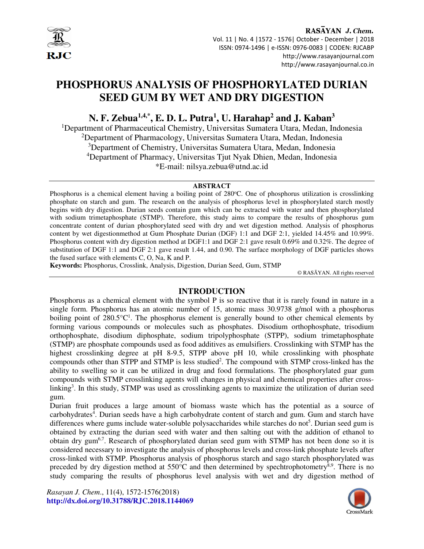

RASAYAN J. Chem. Vol. 11 | No. 4 |1572 - 1576| October - December | 2018 ISSN: 0974-1496 | e-ISSN: 0976-0083 | CODEN: RJCABP http://www.rasayanjournal.com http://www.rasayanjournal.co.in

# **PHOSPHORUS ANALYSIS OF PHOSPHORYLATED DURIAN SEED GUM BY WET AND DRY DIGESTION**

**N. F. Zebua1,4,\*, E. D. L. Putra<sup>1</sup> , U. Harahap<sup>2</sup> and J. Kaban<sup>3</sup>**

<sup>1</sup>Department of Pharmaceutical Chemistry, Universitas Sumatera Utara, Medan, Indonesia <sup>2</sup>Department of Pharmacology, Universitas Sumatera Utara, Medan, Indonesia <sup>3</sup>Department of Chemistry, Universitas Sumatera Utara, Medan, Indonesia <sup>4</sup>Department of Pharmacy, Universitas Tjut Nyak Dhien, Medan, Indonesia \*E-mail: nilsya.zebua@utnd.ac.id

#### **ABSTRACT**

Phosphorus is a chemical element having a boiling point of  $280^{\circ}$ C. One of phosphorus utilization is crosslinking phosphate on starch and gum. The research on the analysis of phosphorus level in phosphorylated starch mostly begins with dry digestion. Durian seeds contain gum which can be extracted with water and then phosphorylated with sodium trimetaphosphate (STMP). Therefore, this study aims to compare the results of phosphorus gum concentrate content of durian phosphorylated seed with dry and wet digestion method. Analysis of phosphorus content by wet digestionmethod at Gum Phosphate Durian (DGF) 1:1 and DGF 2:1, yielded 14.45% and 10.99%. Phosphorus content with dry digestion method at DGF1:1 and DGF 2:1 gave result 0.69% and 0.32%. The degree of substitution of DGF 1:1 and DGF 2:1 gave result 1.44, and 0.90. The surface morphology of DGF particles shows the fused surface with elements C, O, Na, K and P.

**Keywords:** Phosphorus, Crosslink, Analysis, Digestion, Durian Seed, Gum, STMP

© RASĀYAN. All rights reserved

## **INTRODUCTION**

Phosphorus as a chemical element with the symbol P is so reactive that it is rarely found in nature in a single form. Phosphorus has an atomic number of 15, atomic mass 30.9738 g/mol with a phosphorus boiling point of  $280.5^{\circ}C^{1}$ . The phosphorus element is generally bound to other chemical elements by forming various compounds or molecules such as phosphates. Disodium orthophosphate, trisodium orthophosphate, disodium diphosphate, sodium tripolyphosphate (STPP), sodium trimetaphosphate (STMP) are phosphate compounds used as food additives as emulsifiers. Crosslinking with STMP has the highest crosslinking degree at pH 8-9.5, STPP above pH 10, while crosslinking with phosphate compounds other than STPP and STMP is less studied<sup>2</sup>. The compound with STMP cross-linked has the ability to swelling so it can be utilized in drug and food formulations. The phosphorylated guar gum compounds with STMP crosslinking agents will changes in physical and chemical properties after crosslinking<sup>3</sup>. In this study, STMP was used as crosslinking agents to maximize the utilization of durian seed gum.

Durian fruit produces a large amount of biomass waste which has the potential as a source of carbohydrates<sup>4</sup>. Durian seeds have a high carbohydrate content of starch and gum. Gum and starch have differences where gums include water-soluble polysaccharides while starches do not<sup>5</sup>. Durian seed gum is obtained by extracting the durian seed with water and then salting out with the addition of ethanol to obtain dry gum6,7. Research of phosphorylated durian seed gum with STMP has not been done so it is considered necessary to investigate the analysis of phosphorus levels and cross-link phosphate levels after cross-linked with STMP. Phosphorus analysis of phosphorus starch and sago starch phosphorylated was preceded by dry digestion method at  $550^{\circ}$ C and then determined by spechtrophotometry<sup>8,9</sup>. There is no study comparing the results of phosphorus level analysis with wet and dry digestion method of

*Rasayan J. Chem*., 11(4), 1572-1576(2018) **http://dx.doi.org/10.31788/RJC.2018.1144069** 

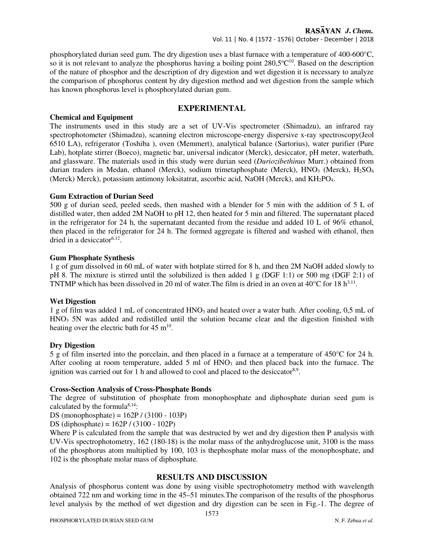# RASAYAN J. Chem.

Vol. 11 | No. 4 |1572 - 1576| October - December | 2018

phosphorylated durian seed gum. The dry digestion uses a blast furnace with a temperature of 400-600°C, so it is not relevant to analyze the phosphorus having a boiling point  $280,5^{\circ}C^{10}$ . Based on the description of the nature of phosphor and the description of dry digestion and wet digestion it is necessary to analyze the comparison of phosphorus content by dry digestion method and wet digestion from the sample which has known phosphorus level is phosphorylated durian gum.

# **EXPERIMENTAL**

## **Chemical and Equipment**

The instruments used in this study are a set of UV-Vis spectrometer (Shimadzu), an infrared ray spectrophotometer (Shimadzu), scanning electron microscope-energy dispersive x-ray spectroscopy(Jeol 6510 LA), refrigerator (Toshiba ), oven (Memmert), analytical balance (Sartorius), water purifier (Pure Lab), hotplate stirrer (Boeco), magnetic bar, universal indicator (Merck), desiccator, pH meter, waterbath, and glassware. The materials used in this study were durian seed (*Duriozibethinus* Murr.) obtained from durian traders in Medan, ethanol (Merck), sodium trimetaphosphate (Merck),  $HNO<sub>3</sub>$  (Merck),  $H<sub>2</sub>SO<sub>4</sub>$ (Merck) Merck), potassium antimony loksitatrat, ascorbic acid, NaOH (Merck), and KH<sub>2</sub>PO<sub>4</sub>.

## **Gum Extraction of Durian Seed**

500 g of durian seed, peeled seeds, then mashed with a blender for 5 min with the addition of 5 L of distilled water, then added 2M NaOH to pH 12, then heated for 5 min and filtered. The supernatant placed in the refrigerator for 24 h, the supernatant decanted from the residue and added 10 L of 96% ethanol, then placed in the refrigerator for 24 h. The formed aggregate is filtered and washed with ethanol, then dried in a desiccator<sup>6,12</sup>.

#### **Gum Phosphate Synthesis**

1 g of gum dissolved in 60 mL of water with hotplate stirred for 8 h, and then 2M NaOH added slowly to pH 8. The mixture is stirred until the solubilized is then added 1 g (DGF 1:1) or 500 mg (DGF 2:1) of TNTMP which has been dissolved in 20 ml of water. The film is dried in an oven at  $40^{\circ}$ C for 18 h<sup>3,11</sup>.

## **Wet Digestion**

1 g of film was added 1 mL of concentrated HNO3 and heated over a water bath. After cooling, 0,5 mL of HNO<sub>3</sub> 5N was added and redistilled until the solution became clear and the digestion finished with heating over the electric bath for  $45 \text{ m}^{10}$ .

## **Dry Digestion**

5 g of film inserted into the porcelain, and then placed in a furnace at a temperature of 450°C for 24 h. After cooling at room temperature, added 5 ml of  $HNO<sub>3</sub>$  and then placed back into the furnace. The ignition was carried out for 1 h and allowed to cool and placed to the desiccator<sup>8,9</sup>.

## **Cross-Section Analysis of Cross-Phosphate Bonds**

The degree of substitution of phosphate from monophosphate and diphosphate durian seed gum is calculated by the formula $8,14$ :

DS (monophosphate) = 162P / (3100 - 103P)

DS (diphosphate) = 162P / (3100 - 102P)

Where P is calculated from the sample that was destructed by wet and dry digestion then P analysis with UV-Vis spectrophotometry, 162 (180-18) is the molar mass of the anhydroglucose unit, 3100 is the mass of the phosphorus atom multiplied by 100, 103 is thephosphate molar mass of the monophosphate, and 102 is the phosphate molar mass of diphosphate.

## **RESULTS AND DISCUSSION**

Analysis of phosphorus content was done by using visible spectrophotometry method with wavelength obtained 722 nm and working time in the 45–51 minutes.The comparison of the results of the phosphorus level analysis by the method of wet digestion and dry digestion can be seen in Fig.-1. The degree of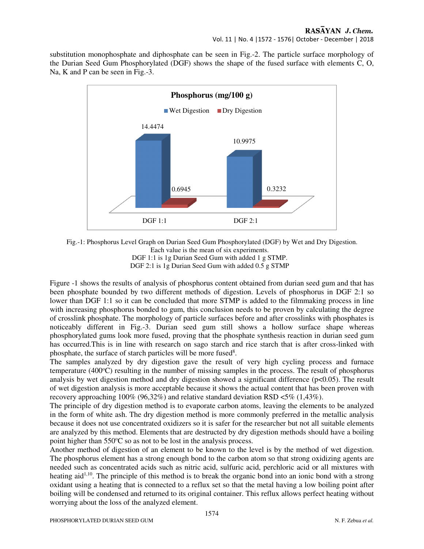substitution monophosphate and diphosphate can be seen in Fig.-2. The particle surface morphology of the Durian Seed Gum Phosphorylated (DGF) shows the shape of the fused surface with elements C, O, Na, K and P can be seen in Fig. -3.



Fig.-1: Phosphorus Level Graph on Durian Seed Gum Phosphorylated (DGF) by Wet and Dry Digestion. Each value is the mean of six experiments. DGF 1:1 is 1g Durian Seed Gum with added 1 g STMP. DGF 2:1 is 1g Durian Seed Gum with added 0.5 g STMP

Figure -1 shows the results of analysis of phosphorus content obtained from durian seed gum and that has been phosphate bounded by two different methods of digestion. Levels of phosphorus in DGF 2:1 so lower than DGF 1:1 so it can be concluded that more STMP is added to the filmmaking process in line with increasing phosphorus bonded to gum, this conclusion needs to be proven by calculating the degree of crosslink phosphate. The morphology of particle surfaces before and after crosslinks with phosphates is noticeably different in Fig.-3. Durian seed gum still shows a hollow surface shape whereas phosphorylated gums look more fused, proving that the phosphate synthesis reaction in durian seed gum has occurred.This is in line with research on sago starch and rice starch that is after cross-linked with phosphate, the surface of starch particles will be more fused<sup>8</sup>.

The samples analyzed by dry digestion gave the result of very high cycling process and furnace temperature (400 $^{\circ}$ C) resulting in the number of missing samples in the process. The result of phosphorus analysis by wet digestion method and dry digestion showed a significant difference (p<0.05). The result of wet digestion analysis is more acceptable because it shows the actual content that has been proven with recovery approaching 100% (96,32%) and relative standard deviation RSD <5% (1,43%).

The principle of dry digestion method is to evaporate carbon atoms, leaving the elements to be analyzed in the form of white ash. The dry digestion method is more commonly preferred in the metallic analysis because it does not use concentrated oxidizers so it is safer for the researcher but not all suitable elements are analyzed by this method. Elements that are destructed by dry digestion methods should have a boiling point higher than  $550^{\circ}$ C so as not to be lost in the analysis process.

Another method of digestion of an element to be known to the level is by the method of wet digestion. The phosphorus element has a strong enough bond to the carbon atom so that strong oxidizing agents are needed such as concentrated acids such as nitric acid, sulfuric acid, perchloric acid or all mixtures with heating aid<sup> $1,10$ </sup>. The principle of this method is to break the organic bond into an ionic bond with a strong oxidant using a heating that is connected to a reflux set so that the metal having a low boiling point after boiling will be condensed and returned to its original container. This reflux allows perfect heating without worrying about the loss of the analyzed element.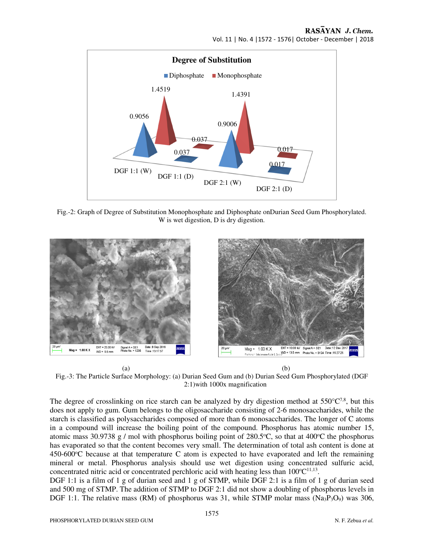## RASAYAN J. Chem. Vol. 11 | No. 4 |1572 - 1576| October - December | 2018



Fig.-2: Graph of Degree of Substitution Monophosphate and Diphosphate onDurian Seed Gum Phosphorylated. W is wet digestion, D is dry digestion.



 $(a)$  (b) Fig.-3: The Particle Surface Morphology: (a) Durian Seed Gum and (b) Durian Seed Gum Phosphorylated (DGF 2:1)with 1000x magnification

The degree of crosslinking on rice starch can be analyzed by dry digestion method at  $550^{\circ}C^{7,8}$ , but this does not apply to gum. Gum belongs to the oligosaccharide consisting of 2-6 monosaccharides, while the starch is classified as polysaccharides composed of more than 6 monosaccharides. The longer of C atoms in a compound will increase the boiling point of the compound. Phosphorus has atomic number 15, atomic mass 30.9738 g / mol with phosphorus boiling point of  $280.5^{\circ}$ C, so that at  $400^{\circ}$ C the phosphorus has evaporated so that the content becomes very small. The determination of total ash content is done at  $450-600^{\circ}$ C because at that temperature C atom is expected to have evaporated and left the remaining mineral or metal. Phosphorus analysis should use wet digestion using concentrated sulfuric acid, concentrated nitric acid or concentrated perchloric acid with heating less than  $100^{\circ}C^{11,13}$ .

DGF 1:1 is a film of 1 g of durian seed and 1 g of STMP, while DGF 2:1 is a film of 1 g of durian seed and 500 mg of STMP. The addition of STMP to DGF 2:1 did not show a doubling of phosphorus levels in DGF 1:1. The relative mass (RM) of phosphorus was 31, while STMP molar mass (Na<sub>3</sub>P<sub>3</sub>O<sub>9</sub>) was 306,